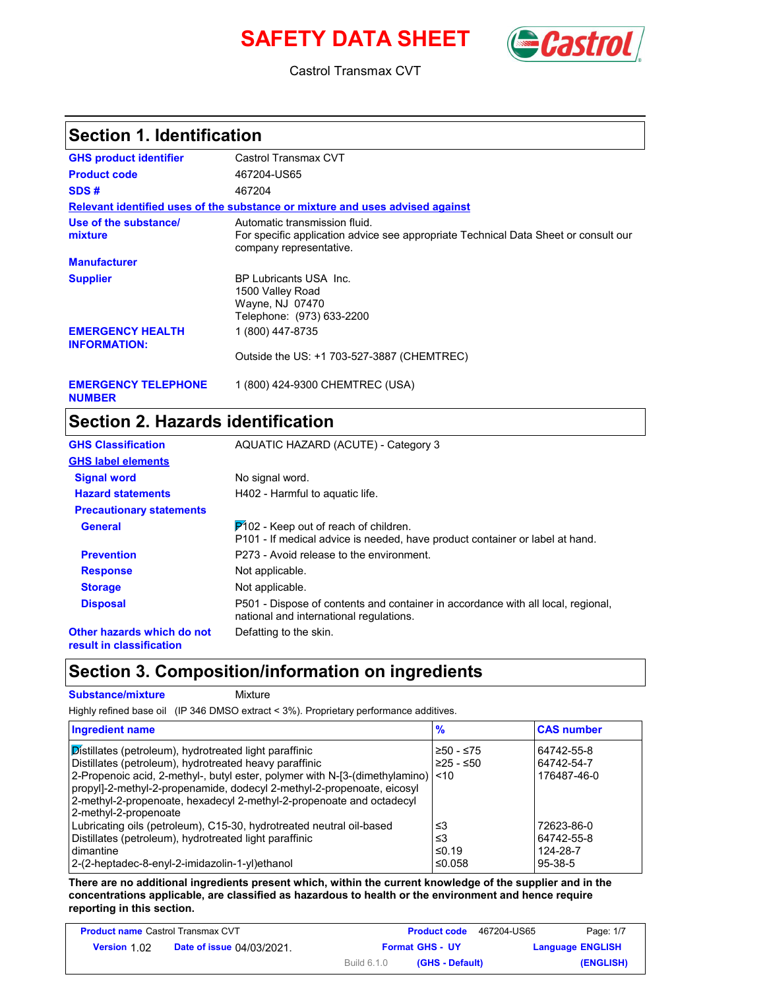# **SAFETY DATA SHEET** (**Castro**



Castrol Transmax CVT

#### **Section 1. Identification**

| <b>GHS product identifier</b>                  | Castrol Transmax CVT                                                                                                                            |
|------------------------------------------------|-------------------------------------------------------------------------------------------------------------------------------------------------|
| <b>Product code</b>                            | 467204-US65                                                                                                                                     |
| SDS#                                           | 467204                                                                                                                                          |
|                                                | Relevant identified uses of the substance or mixture and uses advised against                                                                   |
| Use of the substance/<br>mixture               | Automatic transmission fluid.<br>For specific application advice see appropriate Technical Data Sheet or consult our<br>company representative. |
| <b>Manufacturer</b>                            |                                                                                                                                                 |
| <b>Supplier</b>                                | BP Lubricants USA Inc.<br>1500 Valley Road<br>Wayne, NJ 07470<br>Telephone: (973) 633-2200                                                      |
| <b>EMERGENCY HEALTH</b><br><b>INFORMATION:</b> | 1 (800) 447-8735<br>Outside the US: +1 703-527-3887 (CHEMTREC)                                                                                  |
| <b>EMERGENCY TELEPHONE</b>                     | 1 (800) 424-9300 CHEMTREC (USA)                                                                                                                 |

# **Section 2. Hazards identification**

| <b>GHS Classification</b>                              | AQUATIC HAZARD (ACUTE) - Category 3                                                                                         |
|--------------------------------------------------------|-----------------------------------------------------------------------------------------------------------------------------|
| <b>GHS label elements</b>                              |                                                                                                                             |
| <b>Signal word</b>                                     | No signal word.                                                                                                             |
| <b>Hazard statements</b>                               | H402 - Harmful to aguatic life.                                                                                             |
| <b>Precautionary statements</b>                        |                                                                                                                             |
| <b>General</b>                                         | $P$ 102 - Keep out of reach of children.<br>P101 - If medical advice is needed, have product container or label at hand.    |
| <b>Prevention</b>                                      | P273 - Avoid release to the environment.                                                                                    |
| <b>Response</b>                                        | Not applicable.                                                                                                             |
| <b>Storage</b>                                         | Not applicable.                                                                                                             |
| <b>Disposal</b>                                        | P501 - Dispose of contents and container in accordance with all local, regional,<br>national and international regulations. |
| Other hazards which do not<br>result in classification | Defatting to the skin.                                                                                                      |

#### **Section 3. Composition/information on ingredients**

**Substance/mixture Mixture** 

**NUMBER**

Highly refined base oil (IP 346 DMSO extract < 3%). Proprietary performance additives.

| <b>Ingredient name</b>                                                                                                                                                                                                                                                                                                                                                                | $\frac{9}{6}$               | <b>CAS number</b>                                 |
|---------------------------------------------------------------------------------------------------------------------------------------------------------------------------------------------------------------------------------------------------------------------------------------------------------------------------------------------------------------------------------------|-----------------------------|---------------------------------------------------|
| <b>Distillates (petroleum), hydrotreated light paraffinic</b><br>Distillates (petroleum), hydrotreated heavy paraffinic<br>2-Propenoic acid, 2-methyl-, butyl ester, polymer with N-[3-(dimethylamino) <10<br>propyl]-2-methyl-2-propenamide, dodecyl 2-methyl-2-propenoate, eicosyl<br>2-methyl-2-propenoate, hexadecyl 2-methyl-2-propenoate and octadecyl<br>2-methyl-2-propenoate | $≥50 - ≤75$<br>$≥25 - ≤50$  | 64742-55-8<br>64742-54-7<br>176487-46-0           |
| Lubricating oils (petroleum), C15-30, hydrotreated neutral oil-based<br>Distillates (petroleum), hydrotreated light paraffinic<br>dimantine<br>2-(2-heptadec-8-enyl-2-imidazolin-1-yl)ethanol                                                                                                                                                                                         | ≤3<br>≤3<br>≤0.19<br>≤0.058 | 72623-86-0<br>64742-55-8<br>124-28-7<br>$95-38-5$ |

**There are no additional ingredients present which, within the current knowledge of the supplier and in the concentrations applicable, are classified as hazardous to health or the environment and hence require reporting in this section.**

| <b>Product name Castrol Transmax CVT</b> |                                  |                        | <b>Product code</b> | 467204-US65 | Page: 1/7               |
|------------------------------------------|----------------------------------|------------------------|---------------------|-------------|-------------------------|
| <b>Version 1.02</b>                      | <b>Date of issue 04/03/2021.</b> | <b>Format GHS - UY</b> |                     |             | <b>Language ENGLISH</b> |
|                                          |                                  | <b>Build 6.1.0</b>     | (GHS - Default)     |             | (ENGLISH)               |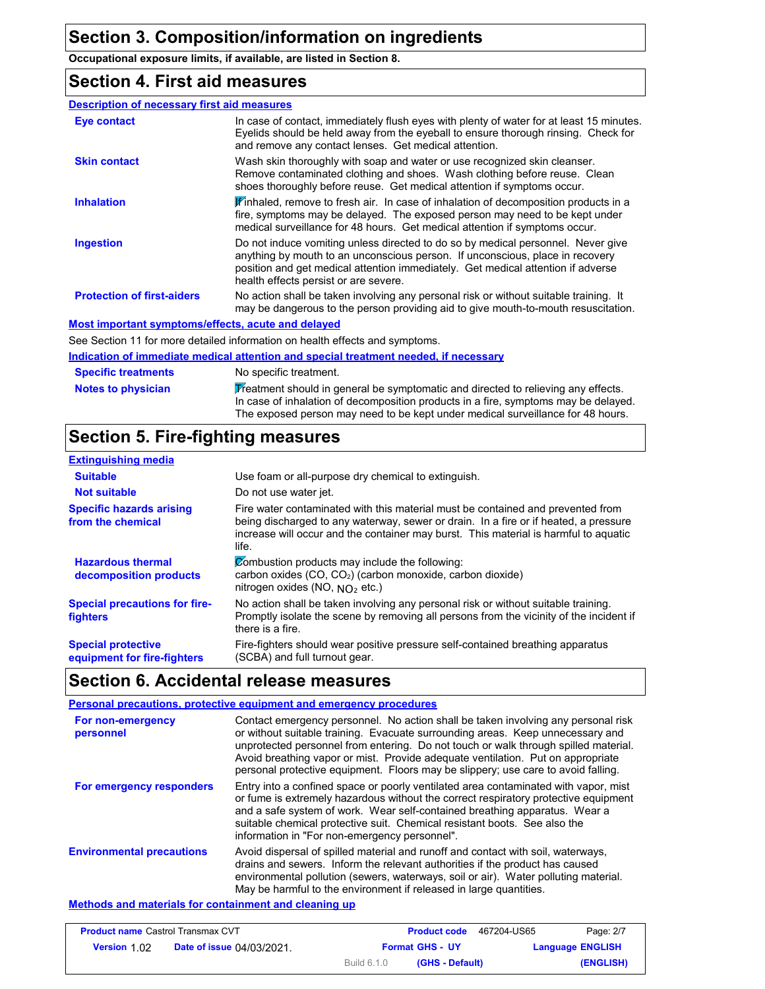**Occupational exposure limits, if available, are listed in Section 8.**

#### **Section 4. First aid measures**

| <b>Description of necessary first aid measures</b> |                                                                                                                                                                                                                                                                                                |
|----------------------------------------------------|------------------------------------------------------------------------------------------------------------------------------------------------------------------------------------------------------------------------------------------------------------------------------------------------|
| Eye contact                                        | In case of contact, immediately flush eyes with plenty of water for at least 15 minutes.<br>Eyelids should be held away from the eyeball to ensure thorough rinsing. Check for<br>and remove any contact lenses. Get medical attention.                                                        |
| <b>Skin contact</b>                                | Wash skin thoroughly with soap and water or use recognized skin cleanser.<br>Remove contaminated clothing and shoes. Wash clothing before reuse. Clean<br>shoes thoroughly before reuse. Get medical attention if symptoms occur.                                                              |
| <b>Inhalation</b>                                  | Finhaled, remove to fresh air. In case of inhalation of decomposition products in a<br>fire, symptoms may be delayed. The exposed person may need to be kept under<br>medical surveillance for 48 hours. Get medical attention if symptoms occur.                                              |
| <b>Ingestion</b>                                   | Do not induce vomiting unless directed to do so by medical personnel. Never give<br>anything by mouth to an unconscious person. If unconscious, place in recovery<br>position and get medical attention immediately. Get medical attention if adverse<br>health effects persist or are severe. |
| <b>Protection of first-aiders</b>                  | No action shall be taken involving any personal risk or without suitable training. It<br>may be dangerous to the person providing aid to give mouth-to-mouth resuscitation.                                                                                                                    |
| Most important symptoms/effects, acute and delayed |                                                                                                                                                                                                                                                                                                |
|                                                    | See Section 11 for more detailed information on health effects and symptoms.                                                                                                                                                                                                                   |

#### **Notes to physician Specific treatments Indication of immediate medical attention and special treatment needed, if necessary** No specific treatment. Treatment should in general be symptomatic and directed to relieving any effects. In case of inhalation of decomposition products in a fire, symptoms may be delayed. The exposed person may need to be kept under medical surveillance for 48 hours.

### **Section 5. Fire-fighting measures**

| <b>Extinguishing media</b>                               |                                                                                                                                                                                                                                                                          |
|----------------------------------------------------------|--------------------------------------------------------------------------------------------------------------------------------------------------------------------------------------------------------------------------------------------------------------------------|
| <b>Suitable</b>                                          | Use foam or all-purpose dry chemical to extinguish.                                                                                                                                                                                                                      |
| <b>Not suitable</b>                                      | Do not use water jet.                                                                                                                                                                                                                                                    |
| <b>Specific hazards arising</b><br>from the chemical     | Fire water contaminated with this material must be contained and prevented from<br>being discharged to any waterway, sewer or drain. In a fire or if heated, a pressure<br>increase will occur and the container may burst. This material is harmful to aquatic<br>life. |
| <b>Hazardous thermal</b><br>decomposition products       | Combustion products may include the following:<br>carbon oxides (CO, CO <sub>2</sub> ) (carbon monoxide, carbon dioxide)<br>nitrogen oxides (NO, $NO2$ etc.)                                                                                                             |
| <b>Special precautions for fire-</b><br>fighters         | No action shall be taken involving any personal risk or without suitable training.<br>Promptly isolate the scene by removing all persons from the vicinity of the incident if<br>there is a fire.                                                                        |
| <b>Special protective</b><br>equipment for fire-fighters | Fire-fighters should wear positive pressure self-contained breathing apparatus<br>(SCBA) and full turnout gear.                                                                                                                                                          |

#### **Section 6. Accidental release measures**

|                                  | Personal precautions, protective equipment and emergency procedures                                                                                                                                                                                                                                                                                                                                                                |
|----------------------------------|------------------------------------------------------------------------------------------------------------------------------------------------------------------------------------------------------------------------------------------------------------------------------------------------------------------------------------------------------------------------------------------------------------------------------------|
| For non-emergency<br>personnel   | Contact emergency personnel. No action shall be taken involving any personal risk<br>or without suitable training. Evacuate surrounding areas. Keep unnecessary and<br>unprotected personnel from entering. Do not touch or walk through spilled material.<br>Avoid breathing vapor or mist. Provide adequate ventilation. Put on appropriate<br>personal protective equipment. Floors may be slippery; use care to avoid falling. |
| For emergency responders         | Entry into a confined space or poorly ventilated area contaminated with vapor, mist<br>or fume is extremely hazardous without the correct respiratory protective equipment<br>and a safe system of work. Wear self-contained breathing apparatus. Wear a<br>suitable chemical protective suit. Chemical resistant boots. See also the<br>information in "For non-emergency personnel".                                             |
| <b>Environmental precautions</b> | Avoid dispersal of spilled material and runoff and contact with soil, waterways,<br>drains and sewers. Inform the relevant authorities if the product has caused<br>environmental pollution (sewers, waterways, soil or air). Water polluting material.<br>May be harmful to the environment if released in large quantities.                                                                                                      |

#### **Methods and materials for containment and cleaning up**

| <b>Product name Castrol Transmax CVT</b> |                                  |                        | <b>Product code</b> | 467204-US65 | Page: 2/7               |
|------------------------------------------|----------------------------------|------------------------|---------------------|-------------|-------------------------|
| <b>Version 1.02</b>                      | <b>Date of issue 04/03/2021.</b> | <b>Format GHS - UY</b> |                     |             | <b>Language ENGLISH</b> |
|                                          |                                  | <b>Build 6.1.0</b>     | (GHS - Default)     |             | (ENGLISH)               |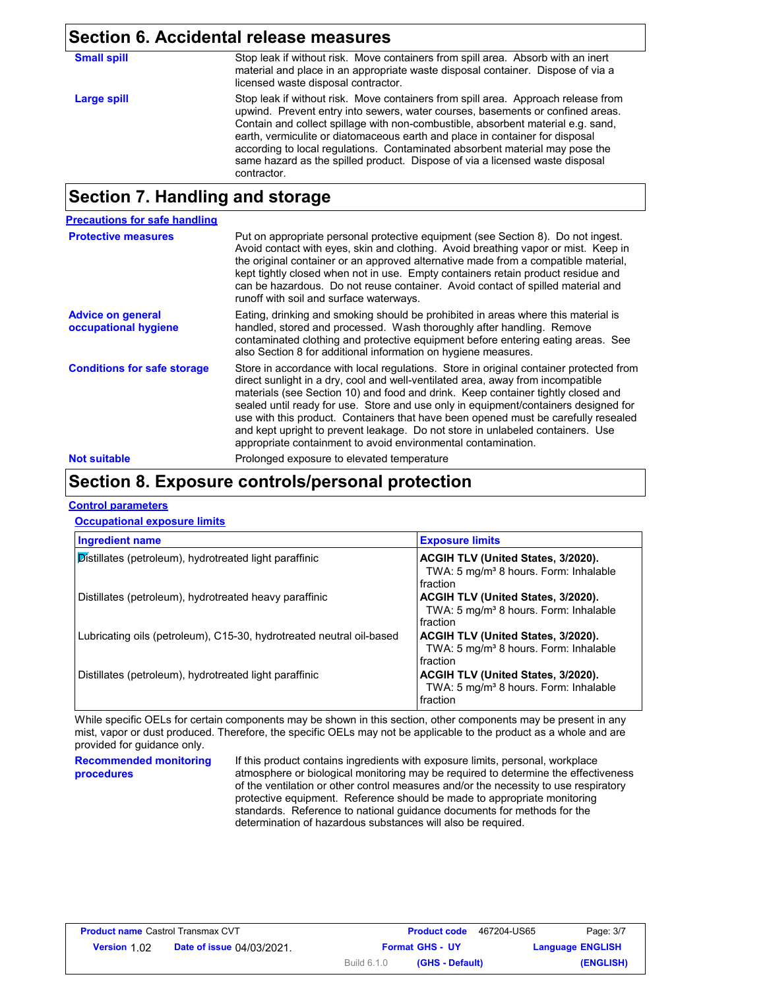| Section 6. Accidental release measures |                                                                                                                                                                                                                                                                                                                                                                                                                                                                                                                        |  |
|----------------------------------------|------------------------------------------------------------------------------------------------------------------------------------------------------------------------------------------------------------------------------------------------------------------------------------------------------------------------------------------------------------------------------------------------------------------------------------------------------------------------------------------------------------------------|--|
| <b>Small spill</b>                     | Stop leak if without risk. Move containers from spill area. Absorb with an inert<br>material and place in an appropriate waste disposal container. Dispose of via a<br>licensed waste disposal contractor.                                                                                                                                                                                                                                                                                                             |  |
| <b>Large spill</b>                     | Stop leak if without risk. Move containers from spill area. Approach release from<br>upwind. Prevent entry into sewers, water courses, basements or confined areas.<br>Contain and collect spillage with non-combustible, absorbent material e.g. sand,<br>earth, vermiculite or diatomaceous earth and place in container for disposal<br>according to local regulations. Contaminated absorbent material may pose the<br>same hazard as the spilled product. Dispose of via a licensed waste disposal<br>contractor. |  |

### **Section 7. Handling and storage**

| <b>Precautions for safe handling</b>             |                                                                                                                                                                                                                                                                                                                                                                                                                                                                                                                                                                                               |
|--------------------------------------------------|-----------------------------------------------------------------------------------------------------------------------------------------------------------------------------------------------------------------------------------------------------------------------------------------------------------------------------------------------------------------------------------------------------------------------------------------------------------------------------------------------------------------------------------------------------------------------------------------------|
| <b>Protective measures</b>                       | Put on appropriate personal protective equipment (see Section 8). Do not ingest.<br>Avoid contact with eyes, skin and clothing. Avoid breathing vapor or mist. Keep in<br>the original container or an approved alternative made from a compatible material.<br>kept tightly closed when not in use. Empty containers retain product residue and<br>can be hazardous. Do not reuse container. Avoid contact of spilled material and<br>runoff with soil and surface waterways.                                                                                                                |
| <b>Advice on general</b><br>occupational hygiene | Eating, drinking and smoking should be prohibited in areas where this material is<br>handled, stored and processed. Wash thoroughly after handling. Remove<br>contaminated clothing and protective equipment before entering eating areas. See<br>also Section 8 for additional information on hygiene measures.                                                                                                                                                                                                                                                                              |
| <b>Conditions for safe storage</b>               | Store in accordance with local regulations. Store in original container protected from<br>direct sunlight in a dry, cool and well-ventilated area, away from incompatible<br>materials (see Section 10) and food and drink. Keep container tightly closed and<br>sealed until ready for use. Store and use only in equipment/containers designed for<br>use with this product. Containers that have been opened must be carefully resealed<br>and kept upright to prevent leakage. Do not store in unlabeled containers. Use<br>appropriate containment to avoid environmental contamination. |
| <b>Not suitable</b>                              | Prolonged exposure to elevated temperature                                                                                                                                                                                                                                                                                                                                                                                                                                                                                                                                                    |

### **Section 8. Exposure controls/personal protection**

#### **Control parameters**

#### **Occupational exposure limits**

| <b>Ingredient name</b>                                               | <b>Exposure limits</b>                                                                                     |
|----------------------------------------------------------------------|------------------------------------------------------------------------------------------------------------|
| Distillates (petroleum), hydrotreated light paraffinic               | ACGIH TLV (United States, 3/2020).<br>TWA: 5 mg/m <sup>3</sup> 8 hours. Form: Inhalable<br>fraction        |
| Distillates (petroleum), hydrotreated heavy paraffinic               | <b>ACGIH TLV (United States, 3/2020).</b><br>TWA: 5 mg/m <sup>3</sup> 8 hours. Form: Inhalable<br>fraction |
| Lubricating oils (petroleum), C15-30, hydrotreated neutral oil-based | ACGIH TLV (United States, 3/2020).<br>TWA: 5 mg/m <sup>3</sup> 8 hours. Form: Inhalable<br>fraction        |
| Distillates (petroleum), hydrotreated light paraffinic               | ACGIH TLV (United States, 3/2020).<br>TWA: 5 mg/m <sup>3</sup> 8 hours. Form: Inhalable<br>fraction        |

While specific OELs for certain components may be shown in this section, other components may be present in any mist, vapor or dust produced. Therefore, the specific OELs may not be applicable to the product as a whole and are provided for guidance only.

**Recommended monitoring procedures**

If this product contains ingredients with exposure limits, personal, workplace atmosphere or biological monitoring may be required to determine the effectiveness of the ventilation or other control measures and/or the necessity to use respiratory protective equipment. Reference should be made to appropriate monitoring standards. Reference to national guidance documents for methods for the determination of hazardous substances will also be required.

| <b>Product name Castrol Transmax CVT</b> |                                  |                        | <b>Product code</b> | 467204-US65 | Page: 3/7               |
|------------------------------------------|----------------------------------|------------------------|---------------------|-------------|-------------------------|
| <b>Version 1.02</b>                      | <b>Date of issue 04/03/2021.</b> | <b>Format GHS - UY</b> |                     |             | <b>Language ENGLISH</b> |
|                                          |                                  | Build 6.1.0            | (GHS - Default)     |             | (ENGLISH)               |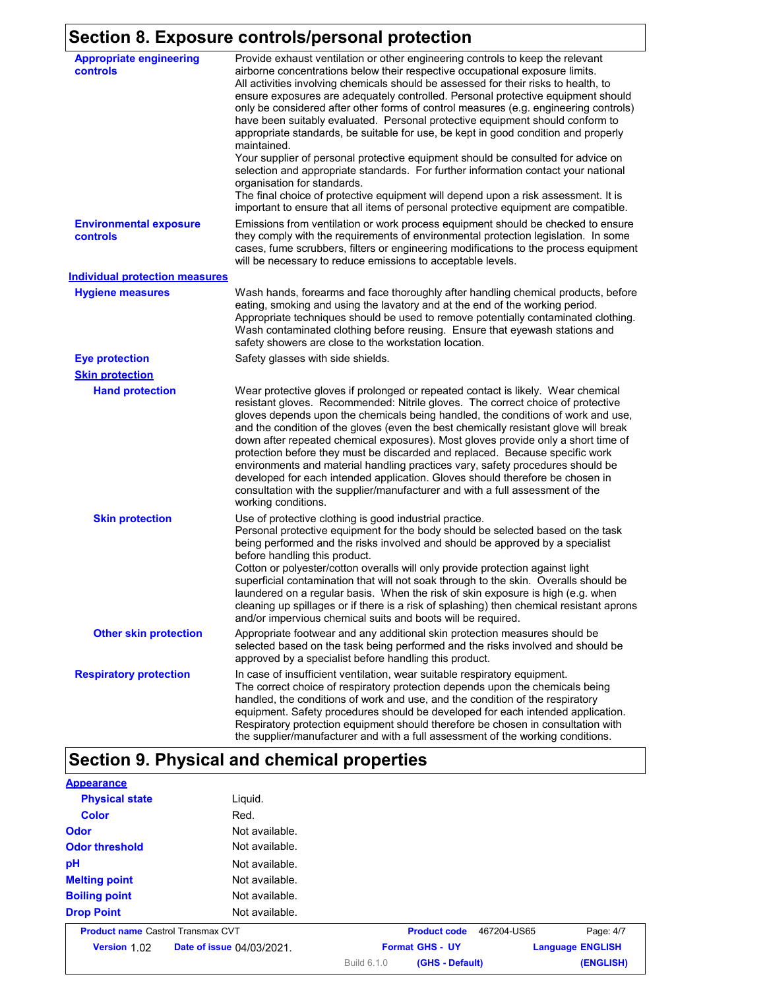## **Section 8. Exposure controls/personal protection**

| <b>Appropriate engineering</b><br>controls | Provide exhaust ventilation or other engineering controls to keep the relevant<br>airborne concentrations below their respective occupational exposure limits.<br>All activities involving chemicals should be assessed for their risks to health, to<br>ensure exposures are adequately controlled. Personal protective equipment should<br>only be considered after other forms of control measures (e.g. engineering controls)<br>have been suitably evaluated. Personal protective equipment should conform to<br>appropriate standards, be suitable for use, be kept in good condition and properly<br>maintained.<br>Your supplier of personal protective equipment should be consulted for advice on<br>selection and appropriate standards. For further information contact your national<br>organisation for standards.<br>The final choice of protective equipment will depend upon a risk assessment. It is<br>important to ensure that all items of personal protective equipment are compatible. |
|--------------------------------------------|---------------------------------------------------------------------------------------------------------------------------------------------------------------------------------------------------------------------------------------------------------------------------------------------------------------------------------------------------------------------------------------------------------------------------------------------------------------------------------------------------------------------------------------------------------------------------------------------------------------------------------------------------------------------------------------------------------------------------------------------------------------------------------------------------------------------------------------------------------------------------------------------------------------------------------------------------------------------------------------------------------------|
| <b>Environmental exposure</b><br>controls  | Emissions from ventilation or work process equipment should be checked to ensure<br>they comply with the requirements of environmental protection legislation. In some<br>cases, fume scrubbers, filters or engineering modifications to the process equipment<br>will be necessary to reduce emissions to acceptable levels.                                                                                                                                                                                                                                                                                                                                                                                                                                                                                                                                                                                                                                                                                 |
| <b>Individual protection measures</b>      |                                                                                                                                                                                                                                                                                                                                                                                                                                                                                                                                                                                                                                                                                                                                                                                                                                                                                                                                                                                                               |
| <b>Hygiene measures</b>                    | Wash hands, forearms and face thoroughly after handling chemical products, before<br>eating, smoking and using the lavatory and at the end of the working period.<br>Appropriate techniques should be used to remove potentially contaminated clothing.<br>Wash contaminated clothing before reusing. Ensure that eyewash stations and<br>safety showers are close to the workstation location.                                                                                                                                                                                                                                                                                                                                                                                                                                                                                                                                                                                                               |
| <b>Eye protection</b>                      | Safety glasses with side shields.                                                                                                                                                                                                                                                                                                                                                                                                                                                                                                                                                                                                                                                                                                                                                                                                                                                                                                                                                                             |
| <b>Skin protection</b>                     |                                                                                                                                                                                                                                                                                                                                                                                                                                                                                                                                                                                                                                                                                                                                                                                                                                                                                                                                                                                                               |
| <b>Hand protection</b>                     | Wear protective gloves if prolonged or repeated contact is likely. Wear chemical<br>resistant gloves. Recommended: Nitrile gloves. The correct choice of protective<br>gloves depends upon the chemicals being handled, the conditions of work and use,<br>and the condition of the gloves (even the best chemically resistant glove will break<br>down after repeated chemical exposures). Most gloves provide only a short time of<br>protection before they must be discarded and replaced. Because specific work<br>environments and material handling practices vary, safety procedures should be<br>developed for each intended application. Gloves should therefore be chosen in<br>consultation with the supplier/manufacturer and with a full assessment of the<br>working conditions.                                                                                                                                                                                                               |
| <b>Skin protection</b>                     | Use of protective clothing is good industrial practice.<br>Personal protective equipment for the body should be selected based on the task<br>being performed and the risks involved and should be approved by a specialist<br>before handling this product.<br>Cotton or polyester/cotton overalls will only provide protection against light<br>superficial contamination that will not soak through to the skin. Overalls should be<br>laundered on a regular basis. When the risk of skin exposure is high (e.g. when<br>cleaning up spillages or if there is a risk of splashing) then chemical resistant aprons<br>and/or impervious chemical suits and boots will be required.                                                                                                                                                                                                                                                                                                                         |
| <b>Other skin protection</b>               | Appropriate footwear and any additional skin protection measures should be<br>selected based on the task being performed and the risks involved and should be<br>approved by a specialist before handling this product.                                                                                                                                                                                                                                                                                                                                                                                                                                                                                                                                                                                                                                                                                                                                                                                       |
| <b>Respiratory protection</b>              | In case of insufficient ventilation, wear suitable respiratory equipment.<br>The correct choice of respiratory protection depends upon the chemicals being<br>handled, the conditions of work and use, and the condition of the respiratory<br>equipment. Safety procedures should be developed for each intended application.<br>Respiratory protection equipment should therefore be chosen in consultation with<br>the supplier/manufacturer and with a full assessment of the working conditions.                                                                                                                                                                                                                                                                                                                                                                                                                                                                                                         |

# **Section 9. Physical and chemical properties**

| <b>Appearance</b>                        |                           |             |                        |             |                         |
|------------------------------------------|---------------------------|-------------|------------------------|-------------|-------------------------|
| <b>Physical state</b>                    | Liquid.                   |             |                        |             |                         |
| <b>Color</b>                             | Red.                      |             |                        |             |                         |
| Odor                                     | Not available.            |             |                        |             |                         |
| <b>Odor threshold</b>                    | Not available.            |             |                        |             |                         |
| pH                                       | Not available.            |             |                        |             |                         |
| <b>Melting point</b>                     | Not available.            |             |                        |             |                         |
| <b>Boiling point</b>                     | Not available.            |             |                        |             |                         |
| <b>Drop Point</b>                        | Not available.            |             |                        |             |                         |
| <b>Product name Castrol Transmax CVT</b> |                           |             | <b>Product code</b>    | 467204-US65 | Page: 4/7               |
| Version 1.02                             | Date of issue 04/03/2021. |             | <b>Format GHS - UY</b> |             | <b>Language ENGLISH</b> |
|                                          |                           | Build 6.1.0 | (GHS - Default)        |             | (ENGLISH)               |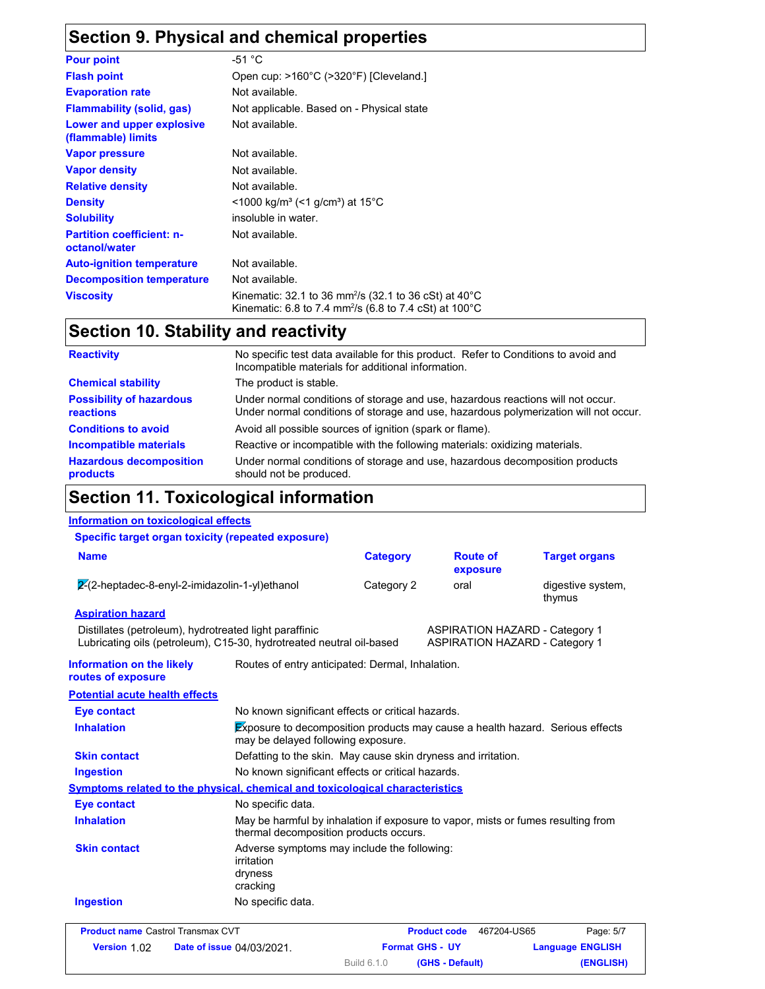### **Section 9. Physical and chemical properties**

| <b>Pour point</b>                                 | -51 $^{\circ}$ C                                                                                                                                    |
|---------------------------------------------------|-----------------------------------------------------------------------------------------------------------------------------------------------------|
| <b>Flash point</b>                                | Open cup: >160°C (>320°F) [Cleveland.]                                                                                                              |
| <b>Evaporation rate</b>                           | Not available.                                                                                                                                      |
| <b>Flammability (solid, gas)</b>                  | Not applicable. Based on - Physical state                                                                                                           |
| Lower and upper explosive<br>(flammable) limits   | Not available.                                                                                                                                      |
| <b>Vapor pressure</b>                             | Not available.                                                                                                                                      |
| <b>Vapor density</b>                              | Not available.                                                                                                                                      |
| <b>Relative density</b>                           | Not available.                                                                                                                                      |
| <b>Density</b>                                    | $<$ 1000 kg/m <sup>3</sup> (<1 g/cm <sup>3</sup> ) at 15 <sup>°</sup> C                                                                             |
| <b>Solubility</b>                                 | insoluble in water.                                                                                                                                 |
| <b>Partition coefficient: n-</b><br>octanol/water | Not available.                                                                                                                                      |
| <b>Auto-ignition temperature</b>                  | Not available.                                                                                                                                      |
| <b>Decomposition temperature</b>                  | Not available.                                                                                                                                      |
| <b>Viscosity</b>                                  | Kinematic: 32.1 to 36 mm <sup>2</sup> /s (32.1 to 36 cSt) at 40 $^{\circ}$ C<br>Kinematic: 6.8 to 7.4 mm <sup>2</sup> /s (6.8 to 7.4 cSt) at 100 °C |

### **Section 10. Stability and reactivity**

| <b>Reactivity</b>                                   | No specific test data available for this product. Refer to Conditions to avoid and<br>Incompatible materials for additional information.                                |
|-----------------------------------------------------|-------------------------------------------------------------------------------------------------------------------------------------------------------------------------|
| <b>Chemical stability</b>                           | The product is stable.                                                                                                                                                  |
| <b>Possibility of hazardous</b><br><b>reactions</b> | Under normal conditions of storage and use, hazardous reactions will not occur.<br>Under normal conditions of storage and use, hazardous polymerization will not occur. |
| <b>Conditions to avoid</b>                          | Avoid all possible sources of ignition (spark or flame).                                                                                                                |
| <b>Incompatible materials</b>                       | Reactive or incompatible with the following materials: oxidizing materials.                                                                                             |
| <b>Hazardous decomposition</b><br>products          | Under normal conditions of storage and use, hazardous decomposition products<br>should not be produced.                                                                 |

#### **Section 11. Toxicological information**

#### **Information on toxicological effects Specific target organ toxicity (repeated exposure) Aspiration hazard** Distillates (petroleum), hydrotreated light paraffinic ASPIRATION HAZARD - Category 1 Lubricating oils (petroleum), C15-30, hydrotreated neutral oil-based ASPIRATION HAZARD - Category 1 **Information on the likely routes of exposure Inhalation** Exposure to decomposition products may cause a health hazard. Serious effects may be delayed following exposure. **Ingestion** No known significant effects or critical hazards. **Skin contact** Defatting to the skin. May cause skin dryness and irritation. **Eye contact** No known significant effects or critical hazards. **Symptoms related to the physical, chemical and toxicological characteristics Skin contact Ingestion Inhalation** May be harmful by inhalation if exposure to vapor, mists or fumes resulting from thermal decomposition products occurs. No specific data. Adverse symptoms may include the following: irritation dryness cracking **Eye contact** No specific data. Routes of entry anticipated: Dermal, Inhalation. **Potential acute health effects Name Category** 2-(2-heptadec-8-enyl-2-imidazolin-1-yl)ethanol Category 2 oral digestive system, thymus **Route of exposure Target organs Product name** Castrol Transmax CVT **Product code** 467204-US65 Page: 5/7 467204-US65 **ENGLISH**

**Date of issue Version Format GHS - UY Language** 1.02 04/03/2021.

Build 6.1.0

**(GHS - Default) (ENGLISH)**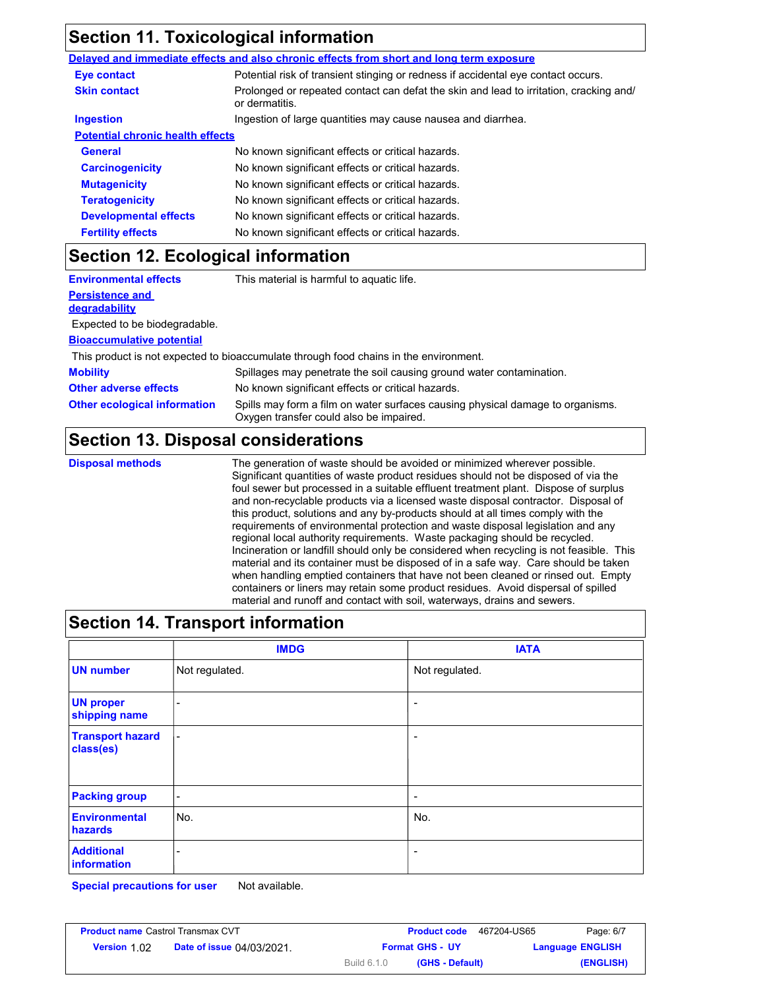## **Section 11. Toxicological information**

|                                         | Delayed and immediate effects and also chronic effects from short and long term exposure                 |
|-----------------------------------------|----------------------------------------------------------------------------------------------------------|
| Eye contact                             | Potential risk of transient stinging or redness if accidental eye contact occurs.                        |
| <b>Skin contact</b>                     | Prolonged or repeated contact can defat the skin and lead to irritation, cracking and/<br>or dermatitis. |
| <b>Ingestion</b>                        | Ingestion of large quantities may cause nausea and diarrhea.                                             |
| <b>Potential chronic health effects</b> |                                                                                                          |
| <b>General</b>                          | No known significant effects or critical hazards.                                                        |
| <b>Carcinogenicity</b>                  | No known significant effects or critical hazards.                                                        |
| <b>Mutagenicity</b>                     | No known significant effects or critical hazards.                                                        |
| <b>Teratogenicity</b>                   | No known significant effects or critical hazards.                                                        |
| <b>Developmental effects</b>            | No known significant effects or critical hazards.                                                        |
| <b>Fertility effects</b>                | No known significant effects or critical hazards.                                                        |

### **Section 12. Ecological information**

| <b>Environmental effects</b>                   | This material is harmful to aquatic life.                                                                                 |
|------------------------------------------------|---------------------------------------------------------------------------------------------------------------------------|
| <b>Persistence and</b><br><b>degradability</b> |                                                                                                                           |
| Expected to be biodegradable.                  |                                                                                                                           |
| <b>Bioaccumulative potential</b>               |                                                                                                                           |
|                                                | This product is not expected to bioaccumulate through food chains in the environment.                                     |
| <b>Mobility</b>                                | Spillages may penetrate the soil causing ground water contamination.                                                      |
| <b>Other adverse effects</b>                   | No known significant effects or critical hazards.                                                                         |
| <b>Other ecological information</b>            | Spills may form a film on water surfaces causing physical damage to organisms.<br>Oxygen transfer could also be impaired. |

### **Section 13. Disposal considerations**

**Disposal methods** The generation of waste should be avoided or minimized wherever possible. Significant quantities of waste product residues should not be disposed of via the foul sewer but processed in a suitable effluent treatment plant. Dispose of surplus and non-recyclable products via a licensed waste disposal contractor. Disposal of this product, solutions and any by-products should at all times comply with the requirements of environmental protection and waste disposal legislation and any regional local authority requirements. Waste packaging should be recycled. Incineration or landfill should only be considered when recycling is not feasible. This material and its container must be disposed of in a safe way. Care should be taken when handling emptied containers that have not been cleaned or rinsed out. Empty containers or liners may retain some product residues. Avoid dispersal of spilled material and runoff and contact with soil, waterways, drains and sewers.

| <b>Section 14. Transport information</b> |                          |                          |  |
|------------------------------------------|--------------------------|--------------------------|--|
|                                          | <b>IMDG</b>              | <b>IATA</b>              |  |
| <b>UN number</b>                         | Not regulated.           | Not regulated.           |  |
| <b>UN proper</b><br>shipping name        | $\overline{\phantom{0}}$ |                          |  |
| <b>Transport hazard</b><br>class(es)     | $\overline{\phantom{0}}$ | -                        |  |
| <b>Packing group</b>                     | -                        | $\overline{\phantom{a}}$ |  |
| <b>Environmental</b><br>hazards          | No.                      | No.                      |  |
| <b>Additional</b><br>information         |                          |                          |  |

**Special precautions for user** Not available.

| <b>Product name Castrol Transmax CVT</b> |                                  |                        | <b>Product code</b> | 467204-US65 | Page: 6/7               |
|------------------------------------------|----------------------------------|------------------------|---------------------|-------------|-------------------------|
| <b>Version 1.02</b>                      | <b>Date of issue 04/03/2021.</b> | <b>Format GHS - UY</b> |                     |             | <b>Language ENGLISH</b> |
|                                          |                                  | <b>Build 6.1.0</b>     | (GHS - Default)     |             | (ENGLISH)               |